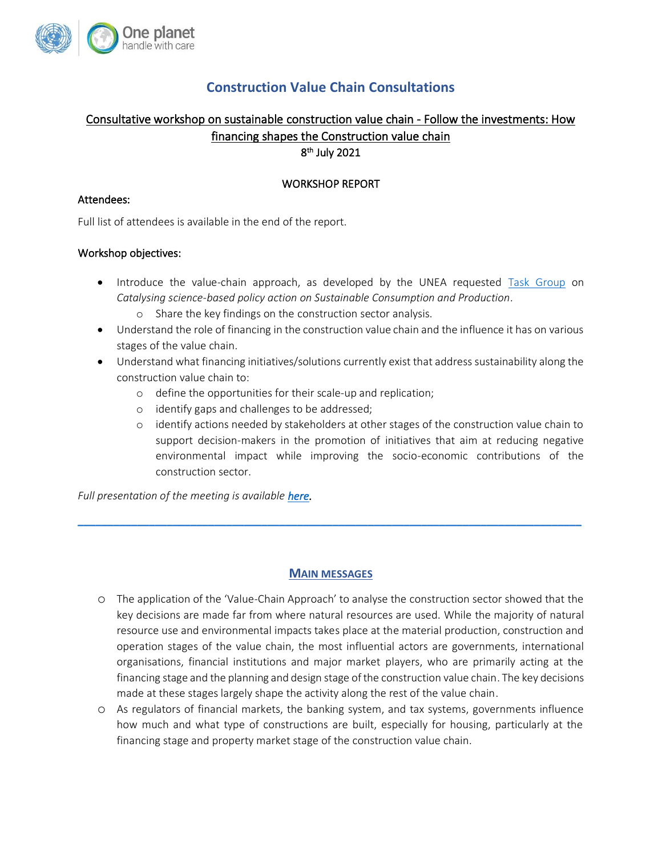

# **Construction Value Chain Consultations**

# Consultative workshop on sustainable construction value chain - Follow the investments: How financing shapes the Construction value chain

8 th July 2021

# WORKSHOP REPORT

#### Attendees:

Full list of attendees is available in the end of the report.

## Workshop objectives:

- Introduce the value-chain approach, as developed by the UNEA requested [Task Group](https://www.oneplanetnetwork.org/task-group-catalysing-science-based-policy-action-scp) on *Catalysing science-based policy action on Sustainable Consumption and Production*.
	- o Share the key findings on the construction sector analysis.
- Understand the role of financing in the construction value chain and the influence it has on various stages of the value chain.
- Understand what financing initiatives/solutions currently exist that address sustainability along the construction value chain to:
	- o define the opportunities for their scale-up and replication;
	- o identify gaps and challenges to be addressed;
	- o identify actions needed by stakeholders at other stages of the construction value chain to support decision-makers in the promotion of initiatives that aim at reducing negative environmental impact while improving the socio-economic contributions of the construction sector.

*Full presentation of the meeting is available [here.](https://www.oneplanetnetwork.org/sites/default/files/construction_value_chain_consultations_-_influence_of_financing.pdf)* 

# **MAIN MESSAGES**

 $\_$  , and the set of the set of the set of the set of the set of the set of the set of the set of the set of the set of the set of the set of the set of the set of the set of the set of the set of the set of the set of th

- o The application of the 'Value-Chain Approach' to analyse the construction sector showed that the key decisions are made far from where natural resources are used. While the majority of natural resource use and environmental impacts takes place at the material production, construction and operation stages of the value chain, the most influential actors are governments, international organisations, financial institutions and major market players, who are primarily acting at the financing stage and the planning and design stage of the construction value chain. The key decisions made at these stages largely shape the activity along the rest of the value chain.
- o As regulators of financial markets, the banking system, and tax systems, governments influence how much and what type of constructions are built, especially for housing, particularly at the financing stage and property market stage of the construction value chain.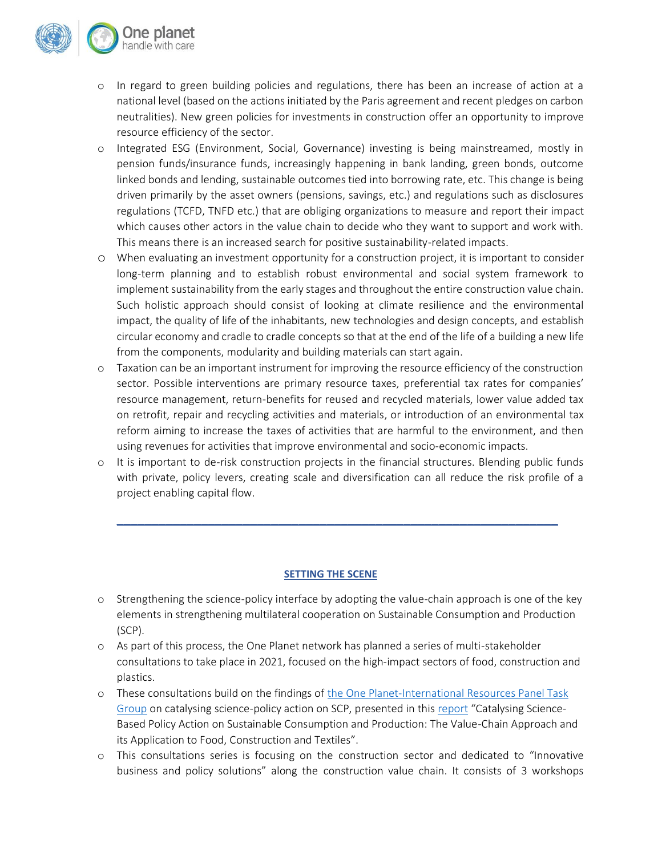

- o In regard to green building policies and regulations, there has been an increase of action at a national level (based on the actions initiated by the Paris agreement and recent pledges on carbon neutralities). New green policies for investments in construction offer an opportunity to improve resource efficiency of the sector.
- o Integrated ESG (Environment, Social, Governance) investing is being mainstreamed, mostly in pension funds/insurance funds, increasingly happening in bank landing, green bonds, outcome linked bonds and lending, sustainable outcomes tied into borrowing rate, etc. This change is being driven primarily by the asset owners (pensions, savings, etc.) and regulations such as disclosures regulations (TCFD, TNFD etc.) that are obliging organizations to measure and report their impact which causes other actors in the value chain to decide who they want to support and work with. This means there is an increased search for positive sustainability-related impacts.
- o When evaluating an investment opportunity for a construction project, it is important to consider long-term planning and to establish robust environmental and social system framework to implement sustainability from the early stages and throughout the entire construction value chain. Such holistic approach should consist of looking at climate resilience and the environmental impact, the quality of life of the inhabitants, new technologies and design concepts, and establish circular economy and cradle to cradle concepts so that at the end of the life of a building a new life from the components, modularity and building materials can start again.
- o Taxation can be an important instrument for improving the resource efficiency of the construction sector. Possible interventions are primary resource taxes, preferential tax rates for companies' resource management, return-benefits for reused and recycled materials, lower value added tax on retrofit, repair and recycling activities and materials, or introduction of an environmental tax reform aiming to increase the taxes of activities that are harmful to the environment, and then using revenues for activities that improve environmental and socio-economic impacts.
- $\circ$  It is important to de-risk construction projects in the financial structures. Blending public funds with private, policy levers, creating scale and diversification can all reduce the risk profile of a project enabling capital flow.

**\_\_\_\_\_\_\_\_\_\_\_\_\_\_\_\_\_\_\_\_\_\_\_\_\_\_\_\_\_\_\_\_\_\_\_\_\_\_\_\_\_\_\_\_\_\_\_\_\_\_\_\_\_\_\_\_\_\_\_\_\_\_\_**

#### **SETTING THE SCENE**

- o Strengthening the science-policy interface by adopting the value-chain approach is one of the key elements in strengthening multilateral cooperation on Sustainable Consumption and Production (SCP).
- o As part of this process, the One Planet network has planned a series of multi-stakeholder consultations to take place in 2021, focused on the high-impact sectors of food, construction and plastics.
- o These consultations build on the findings o[f the One Planet-International Resources Panel Task](https://www.oneplanetnetwork.org/task-group-catalysing-science-based-policy-action-scp)  [Group](https://www.oneplanetnetwork.org/task-group-catalysing-science-based-policy-action-scp) on catalysing science-policy action on SCP, presented in thi[s report](https://www.oneplanetnetwork.org/resource/catalysing-science-based-policy-action-sustainable-consumption-and-production-value-chain) "Catalysing Science-Based Policy Action on Sustainable Consumption and Production: The Value-Chain Approach and its Application to Food, Construction and Textiles".
- o This consultations series is focusing on the construction sector and dedicated to "Innovative business and policy solutions" along the construction value chain. It consists of 3 workshops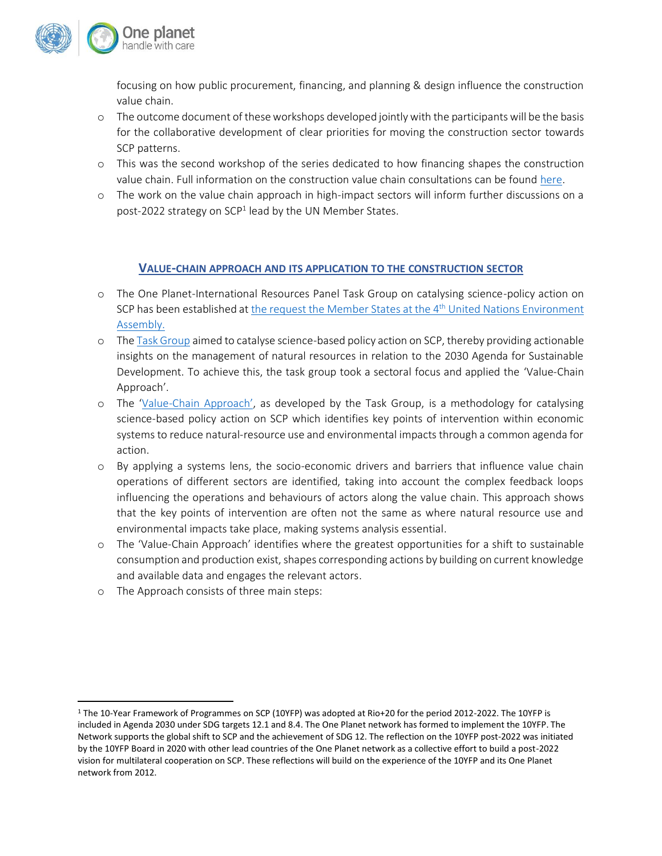

focusing on how public procurement, financing, and planning & design influence the construction value chain.

- o The outcome document of these workshops developed jointly with the participants will be the basis for the collaborative development of clear priorities for moving the construction sector towards SCP patterns.
- o This was the second workshop of the series dedicated to how financing shapes the construction value chain. Full information on the construction value chain consultations can be foun[d here.](https://www.oneplanetnetwork.org/strengthening-science-policy-interface-construction-value-chain-consultations)
- o The work on the value chain approach in high-impact sectors will inform further discussions on a post-2022 strategy on SCP<sup>1</sup> lead by the UN Member States.

## **VALUE-CHAIN APPROACH AND ITS APPLICATION TO THE CONSTRUCTION SECTOR**

- o The One Planet-International Resources Panel Task Group on catalysing science-policy action on SCP has been established a[t the request the Member States at the 4](https://wedocs.unep.org/bitstream/handle/20.500.11822/28517/English.pdf?sequence=3&isAllowed=y)<sup>th</sup> United Nations Environment [Assembly.](https://wedocs.unep.org/bitstream/handle/20.500.11822/28517/English.pdf?sequence=3&isAllowed=y)
- o Th[e Task Group](https://www.oneplanetnetwork.org/task-group-catalysing-science-based-policy-action-scp) aimed to catalyse science-based policy action on SCP, thereby providing actionable insights on the management of natural resources in relation to the 2030 Agenda for Sustainable Development. To achieve this, the task group took a sectoral focus and applied the 'Value-Chain Approach'.
- o The 'Value-[Chain Approach'](https://www.oneplanetnetwork.org/sites/default/files/vc_approach_description.pdf), as developed by the Task Group, is a methodology for catalysing science-based policy action on SCP which identifies key points of intervention within economic systems to reduce natural-resource use and environmental impacts through a common agenda for action.
- o By applying a systems lens, the socio-economic drivers and barriers that influence value chain operations of different sectors are identified, taking into account the complex feedback loops influencing the operations and behaviours of actors along the value chain. This approach shows that the key points of intervention are often not the same as where natural resource use and environmental impacts take place, making systems analysis essential.
- o The 'Value-Chain Approach' identifies where the greatest opportunities for a shift to sustainable consumption and production exist, shapes corresponding actions by building on current knowledge and available data and engages the relevant actors.
- o The Approach consists of three main steps:

<sup>1</sup> The 10-Year Framework of Programmes on SCP (10YFP) was adopted at Rio+20 for the period 2012-2022. The 10YFP is included in Agenda 2030 under SDG targets 12.1 and 8.4. The One Planet network has formed to implement the 10YFP. The Network supports the global shift to SCP and the achievement of SDG 12. The reflection on the 10YFP post-2022 was initiated by the 10YFP Board in 2020 with other lead countries of the One Planet network as a collective effort to build a post-2022 vision for multilateral cooperation on SCP. These reflections will build on the experience of the 10YFP and its One Planet network from 2012.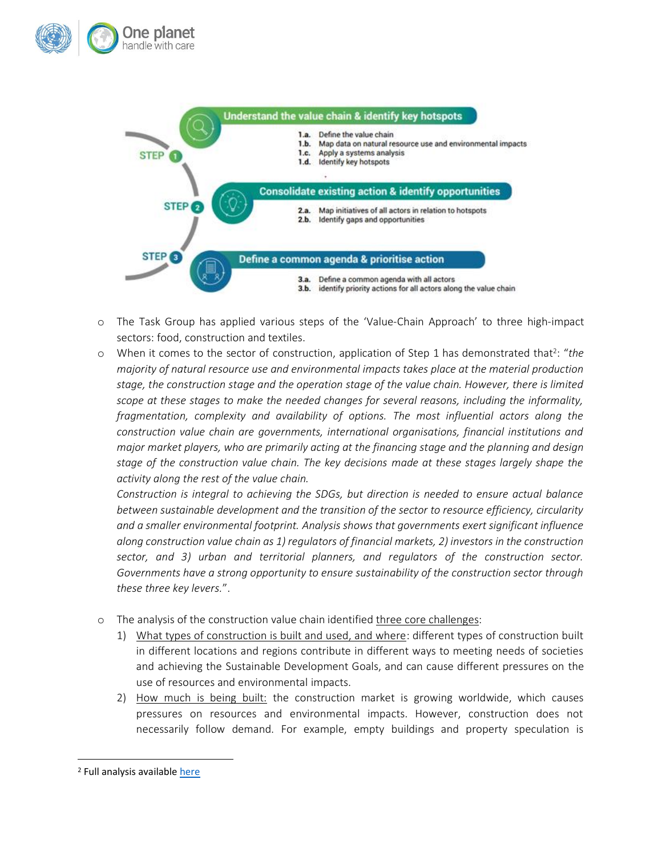



- o The Task Group has applied various steps of the 'Value-Chain Approach' to three high-impact sectors: food, construction and textiles.
- o When it comes to the sector of construction, application of Step 1 has demonstrated that<sup>2</sup>: "the *majority of natural resource use and environmental impacts takes place at the material production stage, the construction stage and the operation stage of the value chain. However, there is limited scope at these stages to make the needed changes for several reasons, including the informality, fragmentation, complexity and availability of options. The most influential actors along the construction value chain are governments, international organisations, financial institutions and major market players, who are primarily acting at the financing stage and the planning and design stage of the construction value chain. The key decisions made at these stages largely shape the activity along the rest of the value chain.*

*Construction is integral to achieving the SDGs, but direction is needed to ensure actual balance between sustainable development and the transition of the sector to resource efficiency, circularity and a smaller environmental footprint. Analysis shows that governments exert significant influence along construction value chain as 1) regulators of financial markets, 2) investors in the construction sector, and 3) urban and territorial planners, and regulators of the construction sector. Governments have a strong opportunity to ensure sustainability of the construction sector through these three key levers.*".

- o The analysis of the construction value chain identified three core challenges:
	- 1) What types of construction is built and used, and where: different types of construction built in different locations and regions contribute in different ways to meeting needs of societies and achieving the Sustainable Development Goals, and can cause different pressures on the use of resources and environmental impacts.
	- 2) How much is being built: the construction market is growing worldwide, which causes pressures on resources and environmental impacts. However, construction does not necessarily follow demand. For example, empty buildings and property speculation is

<sup>&</sup>lt;sup>2</sup> Full analysis available [here](https://www.oneplanetnetwork.org/sites/default/files/value-chain_analysis_-_construction_-_210210.pdf)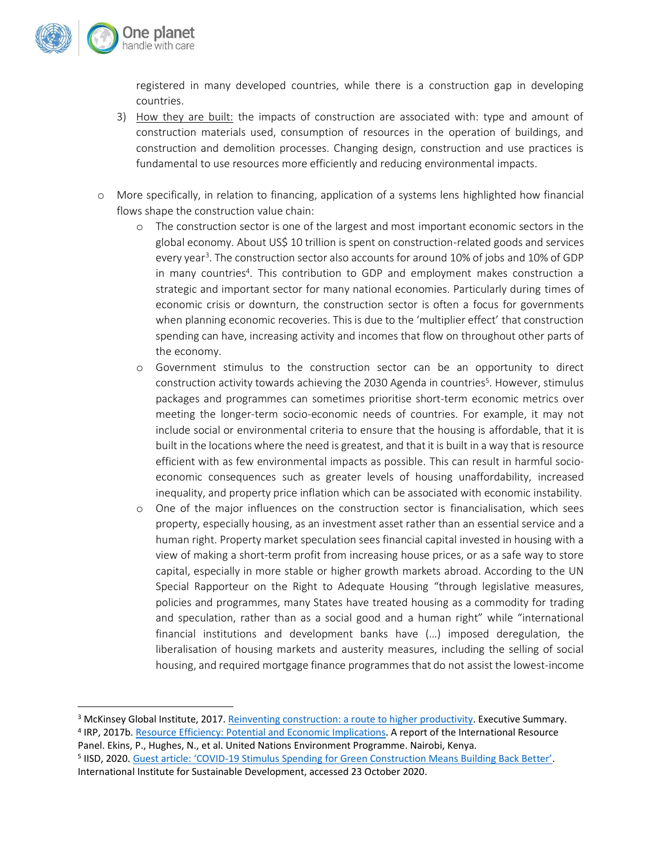

registered in many developed countries, while there is a construction gap in developing countries.

- 3) How they are built: the impacts of construction are associated with: type and amount of construction materials used, consumption of resources in the operation of buildings, and construction and demolition processes. Changing design, construction and use practices is fundamental to use resources more efficiently and reducing environmental impacts.
- o More specifically, in relation to financing, application of a systems lens highlighted how financial flows shape the construction value chain:
	- o The construction sector is one of the largest and most important economic sectors in the global economy. About US\$ 10 trillion is spent on construction-related goods and services every year<sup>3</sup>. The construction sector also accounts for around 10% of jobs and 10% of GDP in many countries<sup>4</sup>. This contribution to GDP and employment makes construction a strategic and important sector for many national economies. Particularly during times of economic crisis or downturn, the construction sector is often a focus for governments when planning economic recoveries. This is due to the 'multiplier effect' that construction spending can have, increasing activity and incomes that flow on throughout other parts of the economy.
	- o Government stimulus to the construction sector can be an opportunity to direct construction activity towards achieving the 2030 Agenda in countries<sup>5</sup>. However, stimulus packages and programmes can sometimes prioritise short-term economic metrics over meeting the longer-term socio-economic needs of countries. For example, it may not include social or environmental criteria to ensure that the housing is affordable, that it is built in the locations where the need is greatest, and that it is built in a way that is resource efficient with as few environmental impacts as possible. This can result in harmful socioeconomic consequences such as greater levels of housing unaffordability, increased inequality, and property price inflation which can be associated with economic instability.
	- o One of the major influences on the construction sector is financialisation, which sees property, especially housing, as an investment asset rather than an essential service and a human right. Property market speculation sees financial capital invested in housing with a view of making a short-term profit from increasing house prices, or as a safe way to store capital, especially in more stable or higher growth markets abroad. According to the UN Special Rapporteur on the Right to Adequate Housing "through legislative measures, policies and programmes, many States have treated housing as a commodity for trading and speculation, rather than as a social good and a human right" while "international financial institutions and development banks have (…) imposed deregulation, the liberalisation of housing markets and austerity measures, including the selling of social housing, and required mortgage finance programmes that do not assist the lowest-income

<sup>&</sup>lt;sup>3</sup> McKinsey Global Institute, 2017. [Reinventing construction: a route to higher productivity.](https://www.mckinsey.com/~/media/McKinsey/Industries/Capital%20Projects%20and%20Infrastructure/Our%20Insights/Reinventing%20construction%20through%20a%20productivity%20revolution/MGI-Reinventing-Construction-Executive-summary.pdf) Executive Summary.

<sup>&</sup>lt;sup>4</sup> IRP, 2017b[. Resource Efficiency: Potential and Economic Implications.](https://www.resourcepanel.org/sites/default/files/documents/document/media/resource_efficiency_report_march_2017_web_res.pdf) A report of the International Resource Panel. Ekins, P., Hughes, N., et al. United Nations Environment Programme. Nairobi, Kenya.

<sup>&</sup>lt;sup>5</sup> IISD, 2020. Guest article: 'COVID-[19 Stimulus Spending for Green Construction Means Building Back Better'](https://sdg.iisd.org/commentary/guest-articles/covid-19-stimulus-spending-for-green-construction-means-building-back-better/). International Institute for Sustainable Development, accessed 23 October 2020.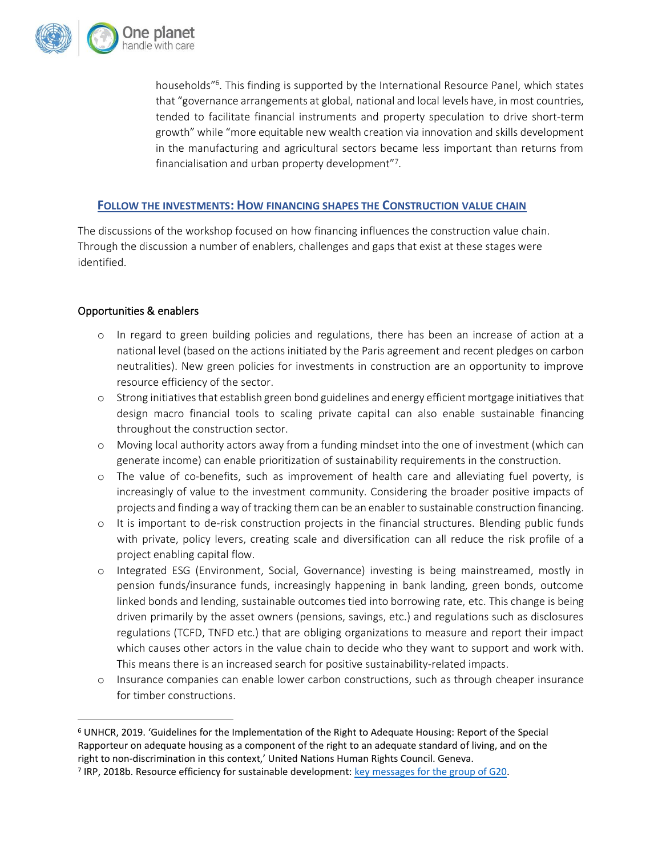

households"<sup>6</sup> . This finding is supported by the International Resource Panel, which states that "governance arrangements at global, national and local levels have, in most countries, tended to facilitate financial instruments and property speculation to drive short-term growth" while "more equitable new wealth creation via innovation and skills development in the manufacturing and agricultural sectors became less important than returns from financialisation and urban property development"7.

#### **FOLLOW THE INVESTMENTS: HOW FINANCING SHAPES THE CONSTRUCTION VALUE CHAIN**

The discussions of the workshop focused on how financing influences the construction value chain. Through the discussion a number of enablers, challenges and gaps that exist at these stages were identified.

## Opportunities & enablers

- o In regard to green building policies and regulations, there has been an increase of action at a national level (based on the actions initiated by the Paris agreement and recent pledges on carbon neutralities). New green policies for investments in construction are an opportunity to improve resource efficiency of the sector.
- o Strong initiatives that establish green bond guidelines and energy efficient mortgage initiatives that design macro financial tools to scaling private capital can also enable sustainable financing throughout the construction sector.
- o Moving local authority actors away from a funding mindset into the one of investment (which can generate income) can enable prioritization of sustainability requirements in the construction.
- o The value of co-benefits, such as improvement of health care and alleviating fuel poverty, is increasingly of value to the investment community. Considering the broader positive impacts of projects and finding a way of tracking them can be an enabler to sustainable construction financing.
- o It is important to de-risk construction projects in the financial structures. Blending public funds with private, policy levers, creating scale and diversification can all reduce the risk profile of a project enabling capital flow.
- o Integrated ESG (Environment, Social, Governance) investing is being mainstreamed, mostly in pension funds/insurance funds, increasingly happening in bank landing, green bonds, outcome linked bonds and lending, sustainable outcomes tied into borrowing rate, etc. This change is being driven primarily by the asset owners (pensions, savings, etc.) and regulations such as disclosures regulations (TCFD, TNFD etc.) that are obliging organizations to measure and report their impact which causes other actors in the value chain to decide who they want to support and work with. This means there is an increased search for positive sustainability-related impacts.
- o Insurance companies can enable lower carbon constructions, such as through cheaper insurance for timber constructions.

<sup>6</sup> UNHCR, 2019. 'Guidelines for the Implementation of the Right to Adequate Housing: Report of the Special Rapporteur on adequate housing as a component of the right to an adequate standard of living, and on the right to non-discrimination in this context,' United Nations Human Rights Council. Geneva.

<sup>&</sup>lt;sup>7</sup> IRP, 2018b. Resource efficiency for sustainable development: [key messages for the group of G20.](https://www.resourcepanel.org/reports/resource-efficiency-sustainable-development)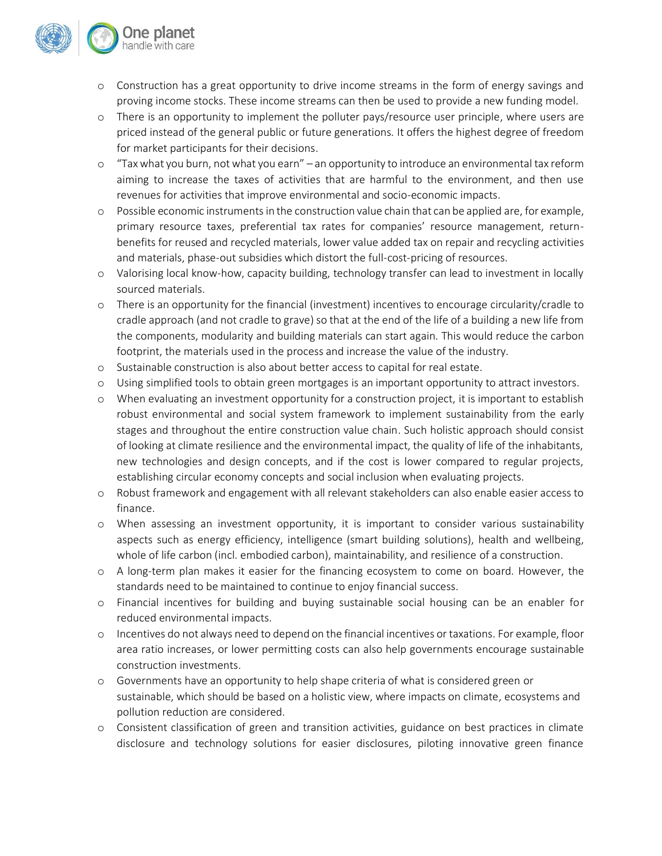

- o Construction has a great opportunity to drive income streams in the form of energy savings and proving income stocks. These income streams can then be used to provide a new funding model.
- o There is an opportunity to implement the polluter pays/resource user principle, where users are priced instead of the general public or future generations. It offers the highest degree of freedom for market participants for their decisions.
- o "Tax what you burn, not what you earn" an opportunity to introduce an environmental tax reform aiming to increase the taxes of activities that are harmful to the environment, and then use revenues for activities that improve environmental and socio-economic impacts.
- o Possible economic instruments in the construction value chain that can be applied are, for example, primary resource taxes, preferential tax rates for companies' resource management, returnbenefits for reused and recycled materials, lower value added tax on repair and recycling activities and materials, phase-out subsidies which distort the full-cost-pricing of resources.
- o Valorising local know-how, capacity building, technology transfer can lead to investment in locally sourced materials.
- o There is an opportunity for the financial (investment) incentives to encourage circularity/cradle to cradle approach (and not cradle to grave) so that at the end of the life of a building a new life from the components, modularity and building materials can start again. This would reduce the carbon footprint, the materials used in the process and increase the value of the industry.
- o Sustainable construction is also about better access to capital for real estate.
- o Using simplified tools to obtain green mortgages is an important opportunity to attract investors.
- o When evaluating an investment opportunity for a construction project, it is important to establish robust environmental and social system framework to implement sustainability from the early stages and throughout the entire construction value chain. Such holistic approach should consist of looking at climate resilience and the environmental impact, the quality of life of the inhabitants, new technologies and design concepts, and if the cost is lower compared to regular projects, establishing circular economy concepts and social inclusion when evaluating projects.
- o Robust framework and engagement with all relevant stakeholders can also enable easier access to finance.
- o When assessing an investment opportunity, it is important to consider various sustainability aspects such as energy efficiency, intelligence (smart building solutions), health and wellbeing, whole of life carbon (incl. embodied carbon), maintainability, and resilience of a construction.
- o A long-term plan makes it easier for the financing ecosystem to come on board. However, the standards need to be maintained to continue to enjoy financial success.
- o Financial incentives for building and buying sustainable social housing can be an enabler for reduced environmental impacts.
- o Incentives do not always need to depend on the financial incentives or taxations. For example, floor area ratio increases, or lower permitting costs can also help governments encourage sustainable construction investments.
- o Governments have an opportunity to help shape criteria of what is considered green or sustainable, which should be based on a holistic view, where impacts on climate, ecosystems and pollution reduction are considered.
- o Consistent classification of green and transition activities, guidance on best practices in climate disclosure and technology solutions for easier disclosures, piloting innovative green finance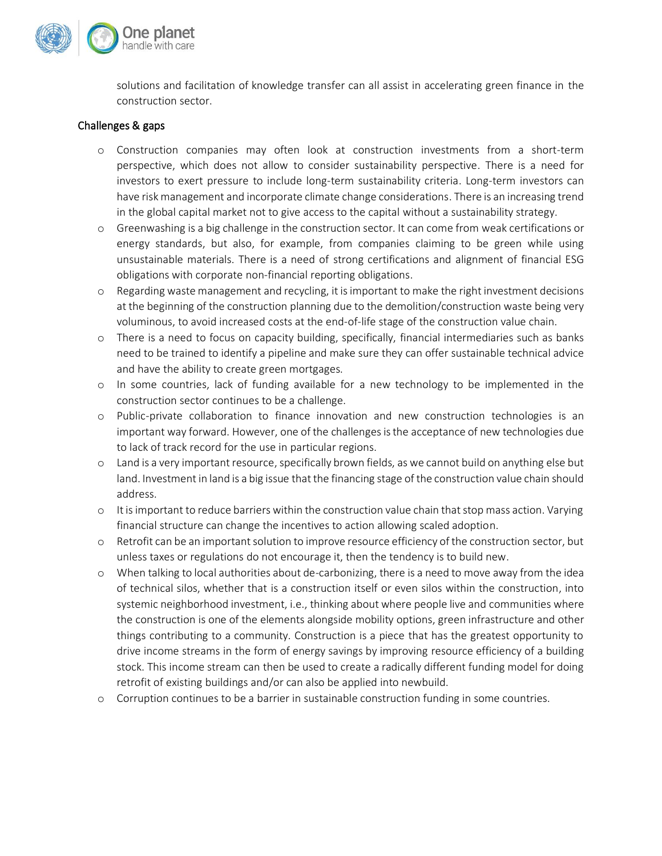

solutions and facilitation of knowledge transfer can all assist in accelerating green finance in the construction sector.

#### Challenges & gaps

- o Construction companies may often look at construction investments from a short-term perspective, which does not allow to consider sustainability perspective. There is a need for investors to exert pressure to include long-term sustainability criteria. Long-term investors can have risk management and incorporate climate change considerations. There is an increasing trend in the global capital market not to give access to the capital without a sustainability strategy.
- o Greenwashing is a big challenge in the construction sector. It can come from weak certifications or energy standards, but also, for example, from companies claiming to be green while using unsustainable materials. There is a need of strong certifications and alignment of financial ESG obligations with corporate non-financial reporting obligations.
- o Regarding waste management and recycling, it is important to make the right investment decisions at the beginning of the construction planning due to the demolition/construction waste being very voluminous, to avoid increased costs at the end-of-life stage of the construction value chain.
- o There is a need to focus on capacity building, specifically, financial intermediaries such as banks need to be trained to identify a pipeline and make sure they can offer sustainable technical advice and have the ability to create green mortgages.
- o In some countries, lack of funding available for a new technology to be implemented in the construction sector continues to be a challenge.
- o Public-private collaboration to finance innovation and new construction technologies is an important way forward. However, one of the challenges is the acceptance of new technologies due to lack of track record for the use in particular regions.
- o Land is a very important resource, specifically brown fields, as we cannot build on anything else but land. Investment in land is a big issue that the financing stage of the construction value chain should address.
- $\circ$  It is important to reduce barriers within the construction value chain that stop mass action. Varying financial structure can change the incentives to action allowing scaled adoption.
- o Retrofit can be an important solution to improve resource efficiency of the construction sector, but unless taxes or regulations do not encourage it, then the tendency is to build new.
- o When talking to local authorities about de-carbonizing, there is a need to move away from the idea of technical silos, whether that is a construction itself or even silos within the construction, into systemic neighborhood investment, i.e., thinking about where people live and communities where the construction is one of the elements alongside mobility options, green infrastructure and other things contributing to a community. Construction is a piece that has the greatest opportunity to drive income streams in the form of energy savings by improving resource efficiency of a building stock. This income stream can then be used to create a radically different funding model for doing retrofit of existing buildings and/or can also be applied into newbuild.
- o Corruption continues to be a barrier in sustainable construction funding in some countries.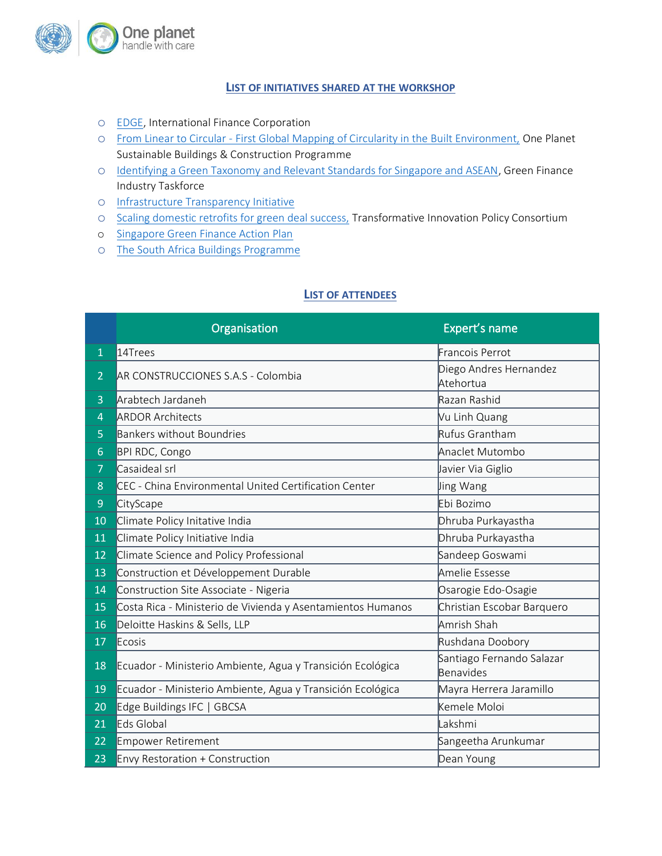

#### **LIST OF INITIATIVES SHARED AT THE WORKSHOP**

- o [EDGE,](https://edgebuildings.com/) International Finance Corporation
- o From Linear to Circular [First Global Mapping of Circularity in the Built Environment,](https://www.oneplanetnetwork.org/linear-circular-first-global-mapping-circularity-built-environment) One Planet Sustainable Buildings & Construction Programme
- o [Identifying a Green Taxonomy and Relevant Standards for Singapore and ASEAN,](https://abs.org.sg/docs/library/gfit-taxonomy-consultation-paper) Green Finance Industry Taskforce
- o [Infrastructure Transparency Initiative](https://infrastructuretransparency.org/)
- o [Scaling domestic retrofits for green deal success,](https://www.tipconsortium.net/making-the-green-new-deal-happen-blog-series-april-2021-scaling-domestic-retrofit/) Transformative Innovation Policy Consortium
- o [Singapore Green Finance Action Plan](https://www.mas.gov.sg/development/sustainable-finance)
- o [The South Africa Buildings Programme](https://smartbuildings.org.za/wp-content/uploads/2021/05/The-South-African-Buildings-Programme-V16.pdf)

#### **LIST OF ATTENDEES**

|                | Organisation                                                | Expert's name                          |
|----------------|-------------------------------------------------------------|----------------------------------------|
| $\overline{1}$ | 14Trees                                                     | Francois Perrot                        |
| $\overline{2}$ | AR CONSTRUCCIONES S.A.S - Colombia                          | Diego Andres Hernandez<br>Atehortua    |
| 3              | Arabtech Jardaneh                                           | Razan Rashid                           |
| $\overline{4}$ | <b>ARDOR Architects</b>                                     | Vu Linh Quang                          |
| 5              | <b>Bankers without Boundries</b>                            | Rufus Grantham                         |
| 6              | BPI RDC, Congo                                              | Anaclet Mutombo                        |
| $\overline{7}$ | Casaideal srl                                               | Javier Via Giglio                      |
| 8              | CEC - China Environmental United Certification Center       | Jing Wang                              |
| 9              | CityScape                                                   | Ebi Bozimo                             |
| 10             | Climate Policy Initative India                              | Dhruba Purkayastha                     |
| 11             | Climate Policy Initiative India                             | Dhruba Purkayastha                     |
| 12             | Climate Science and Policy Professional                     | Sandeep Goswami                        |
| 13             | Construction et Développement Durable                       | Amelie Essesse                         |
| 14             | Construction Site Associate - Nigeria                       | Osarogie Edo-Osagie                    |
| 15             | Costa Rica - Ministerio de Vivienda y Asentamientos Humanos | Christian Escobar Barquero             |
| 16             | Deloitte Haskins & Sells, LLP                               | Amrish Shah                            |
| 17             | Ecosis                                                      | Rushdana Doobory                       |
| 18             | Ecuador - Ministerio Ambiente, Agua y Transición Ecológica  | Santiago Fernando Salazar<br>Benavides |
| 19             | Ecuador - Ministerio Ambiente, Agua y Transición Ecológica  | Mayra Herrera Jaramillo                |
| 20             | Edge Buildings IFC   GBCSA                                  | Kemele Moloi                           |
| 21             | Eds Global                                                  | akshmi                                 |
| 22             | <b>Empower Retirement</b>                                   | Sangeetha Arunkumar                    |
| 23             | Envy Restoration + Construction                             | Dean Young                             |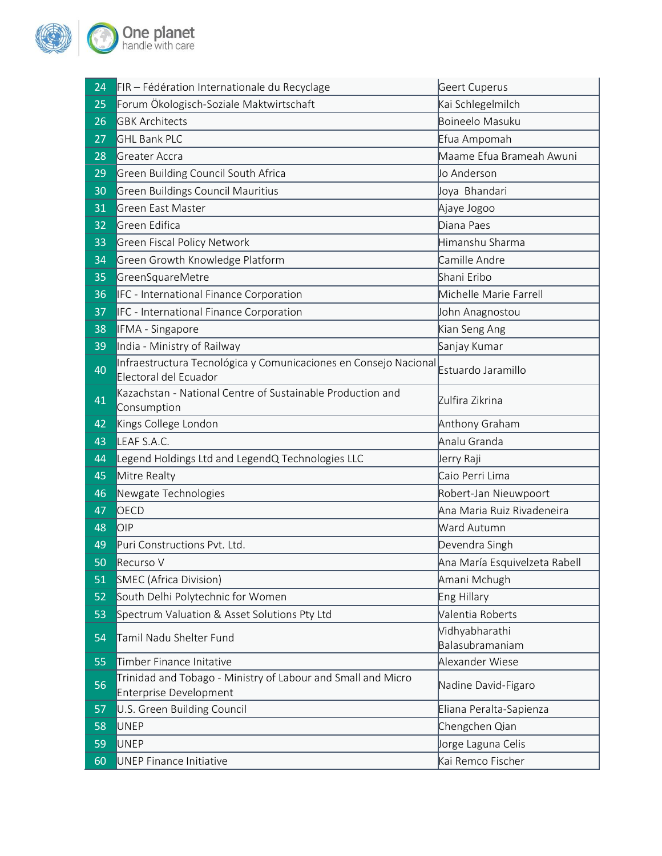

| 24 | FIR - Fédération Internationale du Recyclage                                                  | Geert Cuperus                     |
|----|-----------------------------------------------------------------------------------------------|-----------------------------------|
| 25 | Forum Ökologisch-Soziale Maktwirtschaft                                                       | Kai Schlegelmilch                 |
| 26 | <b>GBK Architects</b>                                                                         | Boineelo Masuku                   |
| 27 | <b>GHL Bank PLC</b>                                                                           | Efua Ampomah                      |
| 28 | Greater Accra                                                                                 | Maame Efua Brameah Awuni          |
| 29 | Green Building Council South Africa                                                           | Jo Anderson                       |
| 30 | <b>Green Buildings Council Mauritius</b>                                                      | Joya Bhandari                     |
| 31 | Green East Master                                                                             | Ajaye Jogoo                       |
| 32 | Green Edifica                                                                                 | Diana Paes                        |
| 33 | <b>Green Fiscal Policy Network</b>                                                            | Himanshu Sharma                   |
| 34 | Green Growth Knowledge Platform                                                               | Camille Andre                     |
| 35 | GreenSquareMetre                                                                              | Shani Eribo                       |
| 36 | IFC - International Finance Corporation                                                       | Michelle Marie Farrell            |
| 37 | IFC - International Finance Corporation                                                       | John Anagnostou                   |
| 38 | IFMA - Singapore                                                                              | Kian Seng Ang                     |
| 39 | India - Ministry of Railway                                                                   | Sanjay Kumar                      |
| 40 | Infraestructura Tecnológica y Comunicaciones en Consejo Nacional<br>Electoral del Ecuador     | Estuardo Jaramillo                |
| 41 | Kazachstan - National Centre of Sustainable Production and<br>Consumption                     | Zulfira Zikrina                   |
| 42 | Kings College London                                                                          | Anthony Graham                    |
| 43 | LEAF S.A.C.                                                                                   | Analu Granda                      |
| 44 | Legend Holdings Ltd and LegendQ Technologies LLC                                              | Jerry Raji                        |
| 45 | Mitre Realty                                                                                  | Caio Perri Lima                   |
| 46 | Newgate Technologies                                                                          | Robert-Jan Nieuwpoort             |
| 47 | OECD                                                                                          | Ana Maria Ruiz Rivadeneira        |
| 48 | <b>OIP</b>                                                                                    | Ward Autumn                       |
| 49 | Puri Constructions Pyt. Ltd.                                                                  | Devendra Singh                    |
| 50 | Recurso V                                                                                     | Ana María Esquivelzeta Rabell     |
| 51 | SMEC (Africa Division)                                                                        | Amani Mchugh                      |
| 52 | South Delhi Polytechnic for Women                                                             | Eng Hillary                       |
| 53 | Spectrum Valuation & Asset Solutions Pty Ltd                                                  | Valentia Roberts                  |
| 54 | Tamil Nadu Shelter Fund                                                                       | Vidhyabharathi<br>Balasubramaniam |
| 55 | Timber Finance Initative                                                                      | Alexander Wiese                   |
| 56 | Trinidad and Tobago - Ministry of Labour and Small and Micro<br><b>Enterprise Development</b> | Nadine David-Figaro               |
| 57 | U.S. Green Building Council                                                                   | Eliana Peralta-Sapienza           |
| 58 | <b>UNEP</b>                                                                                   | Chengchen Qian                    |
| 59 | <b>UNEP</b>                                                                                   | Jorge Laguna Celis                |
| 60 | <b>UNEP Finance Initiative</b>                                                                | Kai Remco Fischer                 |